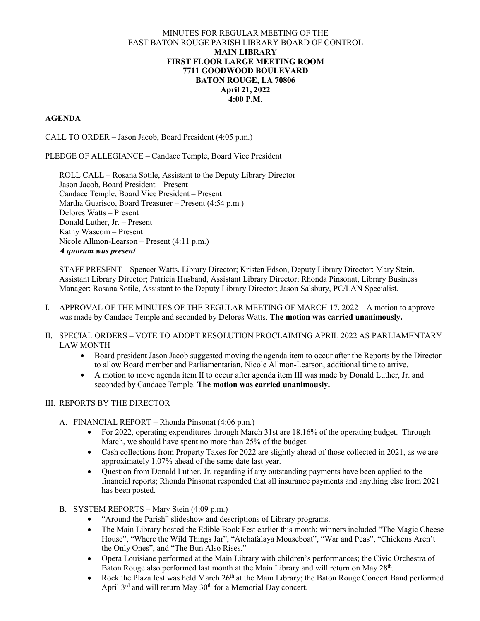#### MINUTES FOR REGULAR MEETING OF THE EAST BATON ROUGE PARISH LIBRARY BOARD OF CONTROL **MAIN LIBRARY FIRST FLOOR LARGE MEETING ROOM 7711 GOODWOOD BOULEVARD BATON ROUGE, LA 70806 April 21, 2022 4:00 P.M.**

### **AGENDA**

CALL TO ORDER – Jason Jacob, Board President (4:05 p.m.)

PLEDGE OF ALLEGIANCE – Candace Temple, Board Vice President

ROLL CALL – Rosana Sotile, Assistant to the Deputy Library Director Jason Jacob, Board President – Present Candace Temple, Board Vice President – Present Martha Guarisco, Board Treasurer – Present (4:54 p.m.) Delores Watts – Present Donald Luther, Jr. – Present Kathy Wascom – Present Nicole Allmon-Learson – Present (4:11 p.m.) *A quorum was present*

STAFF PRESENT – Spencer Watts, Library Director; Kristen Edson, Deputy Library Director; Mary Stein, Assistant Library Director; Patricia Husband, Assistant Library Director; Rhonda Pinsonat, Library Business Manager; Rosana Sotile, Assistant to the Deputy Library Director; Jason Salsbury, PC/LAN Specialist.

- I. APPROVAL OF THE MINUTES OF THE REGULAR MEETING OF MARCH 17, 2022 A motion to approve was made by Candace Temple and seconded by Delores Watts. **The motion was carried unanimously.**
- II. SPECIAL ORDERS VOTE TO ADOPT RESOLUTION PROCLAIMING APRIL 2022 AS PARLIAMENTARY LAW MONTH
	- Board president Jason Jacob suggested moving the agenda item to occur after the Reports by the Director to allow Board member and Parliamentarian, Nicole Allmon-Learson, additional time to arrive.
	- A motion to move agenda item II to occur after agenda item III was made by Donald Luther, Jr. and seconded by Candace Temple. **The motion was carried unanimously.**

## III. REPORTS BY THE DIRECTOR

- A. FINANCIAL REPORT Rhonda Pinsonat (4:06 p.m.)
	- For 2022, operating expenditures through March 31st are 18.16% of the operating budget. Through March, we should have spent no more than 25% of the budget.
	- Cash collections from Property Taxes for 2022 are slightly ahead of those collected in 2021, as we are approximately 1.07% ahead of the same date last year.
	- Question from Donald Luther, Jr. regarding if any outstanding payments have been applied to the financial reports; Rhonda Pinsonat responded that all insurance payments and anything else from 2021 has been posted.
- B. SYSTEM REPORTS Mary Stein (4:09 p.m.)
	- "Around the Parish" slideshow and descriptions of Library programs.
	- The Main Library hosted the Edible Book Fest earlier this month; winners included "The Magic Cheese House", "Where the Wild Things Jar", "Atchafalaya Mouseboat", "War and Peas", "Chickens Aren't the Only Ones", and "The Bun Also Rises."
	- Opera Louisiane performed at the Main Library with children's performances; the Civic Orchestra of Baton Rouge also performed last month at the Main Library and will return on May 28<sup>th</sup>.
	- Rock the Plaza fest was held March 26<sup>th</sup> at the Main Library; the Baton Rouge Concert Band performed April 3<sup>rd</sup> and will return May 30<sup>th</sup> for a Memorial Day concert.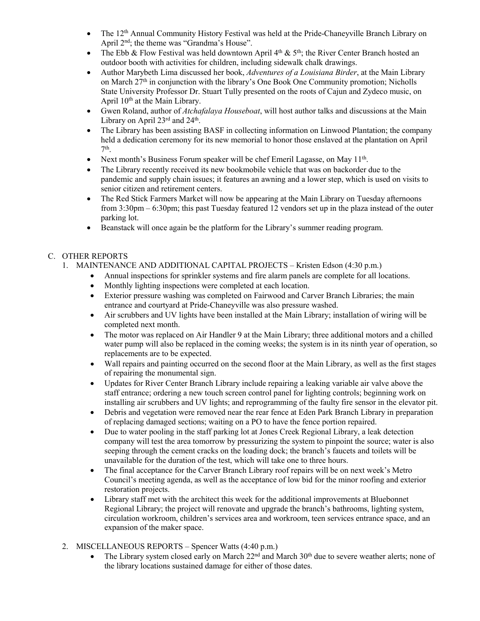- The 12th Annual Community History Festival was held at the Pride-Chaneyville Branch Library on April  $2<sup>nd</sup>$ ; the theme was "Grandma's House".
- The Ebb & Flow Festival was held downtown April  $4<sup>th</sup>$  &  $5<sup>th</sup>$ ; the River Center Branch hosted an outdoor booth with activities for children, including sidewalk chalk drawings.
- Author Marybeth Lima discussed her book, *Adventures of a Louisiana Birder*, at the Main Library on March 27<sup>th</sup> in conjunction with the library's One Book One Community promotion; Nicholls State University Professor Dr. Stuart Tully presented on the roots of Cajun and Zydeco music, on April 10<sup>th</sup> at the Main Library.
- Gwen Roland, author of *Atchafalaya Houseboat*, will host author talks and discussions at the Main Library on April 23rd and 24<sup>th</sup>.
- The Library has been assisting BASF in collecting information on Linwood Plantation; the company held a dedication ceremony for its new memorial to honor those enslaved at the plantation on April  $7<sup>th</sup>$ .
- Next month's Business Forum speaker will be chef Emeril Lagasse, on May 11<sup>th</sup>.
- The Library recently received its new bookmobile vehicle that was on backorder due to the pandemic and supply chain issues; it features an awning and a lower step, which is used on visits to senior citizen and retirement centers.
- The Red Stick Farmers Market will now be appearing at the Main Library on Tuesday afternoons from 3:30pm – 6:30pm; this past Tuesday featured 12 vendors set up in the plaza instead of the outer parking lot.
- Beanstack will once again be the platform for the Library's summer reading program.

# C. OTHER REPORTS

- 1. MAINTENANCE AND ADDITIONAL CAPITAL PROJECTS Kristen Edson (4:30 p.m.)
	- Annual inspections for sprinkler systems and fire alarm panels are complete for all locations.
	- Monthly lighting inspections were completed at each location.
	- Exterior pressure washing was completed on Fairwood and Carver Branch Libraries; the main entrance and courtyard at Pride-Chaneyville was also pressure washed.
	- Air scrubbers and UV lights have been installed at the Main Library; installation of wiring will be completed next month.
	- The motor was replaced on Air Handler 9 at the Main Library; three additional motors and a chilled water pump will also be replaced in the coming weeks; the system is in its ninth year of operation, so replacements are to be expected.
	- Wall repairs and painting occurred on the second floor at the Main Library, as well as the first stages of repairing the monumental sign.
	- Updates for River Center Branch Library include repairing a leaking variable air valve above the staff entrance; ordering a new touch screen control panel for lighting controls; beginning work on installing air scrubbers and UV lights; and reprogramming of the faulty fire sensor in the elevator pit.
	- Debris and vegetation were removed near the rear fence at Eden Park Branch Library in preparation of replacing damaged sections; waiting on a PO to have the fence portion repaired.
	- Due to water pooling in the staff parking lot at Jones Creek Regional Library, a leak detection company will test the area tomorrow by pressurizing the system to pinpoint the source; water is also seeping through the cement cracks on the loading dock; the branch's faucets and toilets will be unavailable for the duration of the test, which will take one to three hours.
	- The final acceptance for the Carver Branch Library roof repairs will be on next week's Metro Council's meeting agenda, as well as the acceptance of low bid for the minor roofing and exterior restoration projects.
	- Library staff met with the architect this week for the additional improvements at Bluebonnet Regional Library; the project will renovate and upgrade the branch's bathrooms, lighting system, circulation workroom, children's services area and workroom, teen services entrance space, and an expansion of the maker space.
- 2. MISCELLANEOUS REPORTS Spencer Watts (4:40 p.m.)
	- The Library system closed early on March 22<sup>nd</sup> and March 30<sup>th</sup> due to severe weather alerts; none of the library locations sustained damage for either of those dates.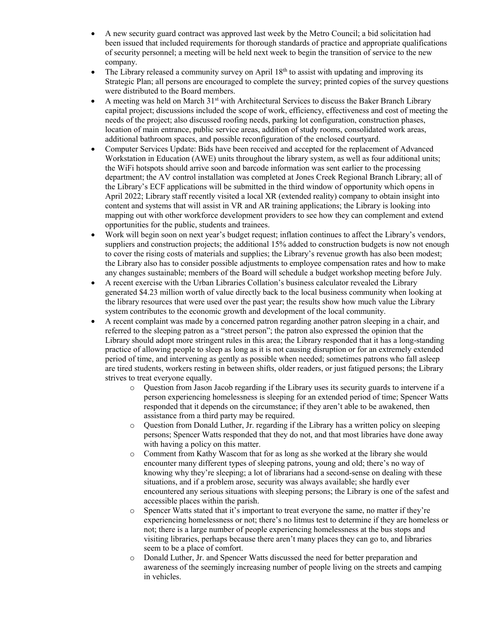- A new security guard contract was approved last week by the Metro Council; a bid solicitation had been issued that included requirements for thorough standards of practice and appropriate qualifications of security personnel; a meeting will be held next week to begin the transition of service to the new company.
- The Library released a community survey on April  $18<sup>th</sup>$  to assist with updating and improving its Strategic Plan; all persons are encouraged to complete the survey; printed copies of the survey questions were distributed to the Board members.
- A meeting was held on March 31st with Architectural Services to discuss the Baker Branch Library capital project; discussions included the scope of work, efficiency, effectiveness and cost of meeting the needs of the project; also discussed roofing needs, parking lot configuration, construction phases, location of main entrance, public service areas, addition of study rooms, consolidated work areas, additional bathroom spaces, and possible reconfiguration of the enclosed courtyard.
- Computer Services Update: Bids have been received and accepted for the replacement of Advanced Workstation in Education (AWE) units throughout the library system, as well as four additional units; the WiFi hotspots should arrive soon and barcode information was sent earlier to the processing department; the AV control installation was completed at Jones Creek Regional Branch Library; all of the Library's ECF applications will be submitted in the third window of opportunity which opens in April 2022; Library staff recently visited a local XR (extended reality) company to obtain insight into content and systems that will assist in VR and AR training applications; the Library is looking into mapping out with other workforce development providers to see how they can complement and extend opportunities for the public, students and trainees.
- Work will begin soon on next year's budget request; inflation continues to affect the Library's vendors, suppliers and construction projects; the additional 15% added to construction budgets is now not enough to cover the rising costs of materials and supplies; the Library's revenue growth has also been modest; the Library also has to consider possible adjustments to employee compensation rates and how to make any changes sustainable; members of the Board will schedule a budget workshop meeting before July.
- A recent exercise with the Urban Libraries Collation's business calculator revealed the Library generated \$4.23 million worth of value directly back to the local business community when looking at the library resources that were used over the past year; the results show how much value the Library system contributes to the economic growth and development of the local community.
- A recent complaint was made by a concerned patron regarding another patron sleeping in a chair, and referred to the sleeping patron as a "street person"; the patron also expressed the opinion that the Library should adopt more stringent rules in this area; the Library responded that it has a long-standing practice of allowing people to sleep as long as it is not causing disruption or for an extremely extended period of time, and intervening as gently as possible when needed; sometimes patrons who fall asleep are tired students, workers resting in between shifts, older readers, or just fatigued persons; the Library strives to treat everyone equally.
	- $\circ$  Question from Jason Jacob regarding if the Library uses its security guards to intervene if a person experiencing homelessness is sleeping for an extended period of time; Spencer Watts responded that it depends on the circumstance; if they aren't able to be awakened, then assistance from a third party may be required.
	- o Question from Donald Luther, Jr. regarding if the Library has a written policy on sleeping persons; Spencer Watts responded that they do not, and that most libraries have done away with having a policy on this matter.
	- o Comment from Kathy Wascom that for as long as she worked at the library she would encounter many different types of sleeping patrons, young and old; there's no way of knowing why they're sleeping; a lot of librarians had a second-sense on dealing with these situations, and if a problem arose, security was always available; she hardly ever encountered any serious situations with sleeping persons; the Library is one of the safest and accessible places within the parish.
	- Spencer Watts stated that it's important to treat everyone the same, no matter if they're experiencing homelessness or not; there's no litmus test to determine if they are homeless or not; there is a large number of people experiencing homelessness at the bus stops and visiting libraries, perhaps because there aren't many places they can go to, and libraries seem to be a place of comfort.
	- o Donald Luther, Jr. and Spencer Watts discussed the need for better preparation and awareness of the seemingly increasing number of people living on the streets and camping in vehicles.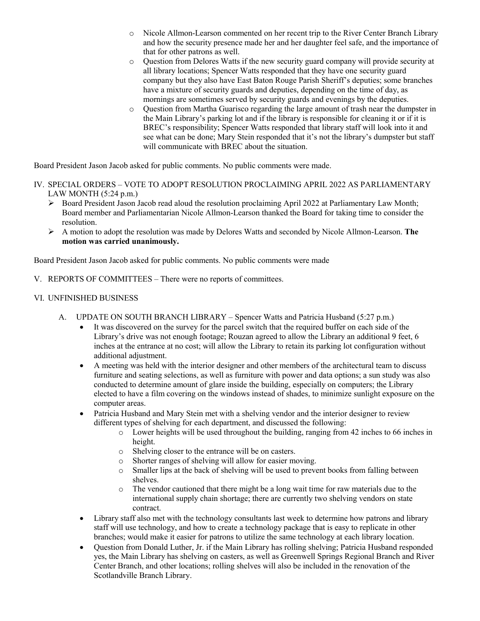- o Nicole Allmon-Learson commented on her recent trip to the River Center Branch Library and how the security presence made her and her daughter feel safe, and the importance of that for other patrons as well.
- o Question from Delores Watts if the new security guard company will provide security at all library locations; Spencer Watts responded that they have one security guard company but they also have East Baton Rouge Parish Sheriff's deputies; some branches have a mixture of security guards and deputies, depending on the time of day, as mornings are sometimes served by security guards and evenings by the deputies.
- o Question from Martha Guarisco regarding the large amount of trash near the dumpster in the Main Library's parking lot and if the library is responsible for cleaning it or if it is BREC's responsibility; Spencer Watts responded that library staff will look into it and see what can be done; Mary Stein responded that it's not the library's dumpster but staff will communicate with BREC about the situation.

Board President Jason Jacob asked for public comments. No public comments were made.

- IV. SPECIAL ORDERS VOTE TO ADOPT RESOLUTION PROCLAIMING APRIL 2022 AS PARLIAMENTARY LAW MONTH (5:24 p.m.)
	- Board President Jason Jacob read aloud the resolution proclaiming April 2022 at Parliamentary Law Month; Board member and Parliamentarian Nicole Allmon-Learson thanked the Board for taking time to consider the resolution.
	- A motion to adopt the resolution was made by Delores Watts and seconded by Nicole Allmon-Learson. **The motion was carried unanimously.**

Board President Jason Jacob asked for public comments. No public comments were made

- V. REPORTS OF COMMITTEES There were no reports of committees.
- VI. UNFINISHED BUSINESS
	- A. UPDATE ON SOUTH BRANCH LIBRARY Spencer Watts and Patricia Husband (5:27 p.m.)
		- It was discovered on the survey for the parcel switch that the required buffer on each side of the Library's drive was not enough footage; Rouzan agreed to allow the Library an additional 9 feet, 6 inches at the entrance at no cost; will allow the Library to retain its parking lot configuration without additional adjustment.
		- A meeting was held with the interior designer and other members of the architectural team to discuss furniture and seating selections, as well as furniture with power and data options; a sun study was also conducted to determine amount of glare inside the building, especially on computers; the Library elected to have a film covering on the windows instead of shades, to minimize sunlight exposure on the computer areas.
		- Patricia Husband and Mary Stein met with a shelving vendor and the interior designer to review different types of shelving for each department, and discussed the following:
			- $\circ$  Lower heights will be used throughout the building, ranging from 42 inches to 66 inches in height.
			- o Shelving closer to the entrance will be on casters.
			- o Shorter ranges of shelving will allow for easier moving.
			- o Smaller lips at the back of shelving will be used to prevent books from falling between shelves.
			- o The vendor cautioned that there might be a long wait time for raw materials due to the international supply chain shortage; there are currently two shelving vendors on state contract.
		- Library staff also met with the technology consultants last week to determine how patrons and library staff will use technology, and how to create a technology package that is easy to replicate in other branches; would make it easier for patrons to utilize the same technology at each library location.
		- Question from Donald Luther, Jr. if the Main Library has rolling shelving; Patricia Husband responded yes, the Main Library has shelving on casters, as well as Greenwell Springs Regional Branch and River Center Branch, and other locations; rolling shelves will also be included in the renovation of the Scotlandville Branch Library.